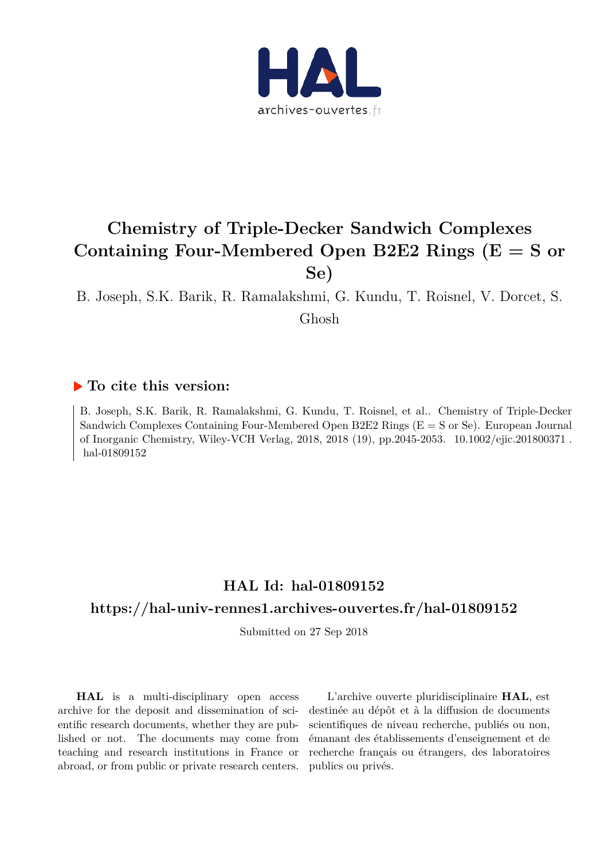

# **Chemistry of Triple-Decker Sandwich Complexes Containing Four-Membered Open B2E2 Rings (E = S or Se)**

B. Joseph, S.K. Barik, R. Ramalakshmi, G. Kundu, T. Roisnel, V. Dorcet, S.

Ghosh

# **To cite this version:**

B. Joseph, S.K. Barik, R. Ramalakshmi, G. Kundu, T. Roisnel, et al.. Chemistry of Triple-Decker Sandwich Complexes Containing Four-Membered Open B2E2 Rings (E = S or Se). European Journal of Inorganic Chemistry, Wiley-VCH Verlag, 2018, 2018 (19), pp.2045-2053. 10.1002/ejic.201800371. hal-01809152

# **HAL Id: hal-01809152**

# **https://hal-univ-rennes1.archives-ouvertes.fr/hal-01809152**

Submitted on 27 Sep 2018

**HAL** is a multi-disciplinary open access archive for the deposit and dissemination of scientific research documents, whether they are published or not. The documents may come from teaching and research institutions in France or abroad, or from public or private research centers.

L'archive ouverte pluridisciplinaire **HAL**, est destinée au dépôt et à la diffusion de documents scientifiques de niveau recherche, publiés ou non, émanant des établissements d'enseignement et de recherche français ou étrangers, des laboratoires publics ou privés.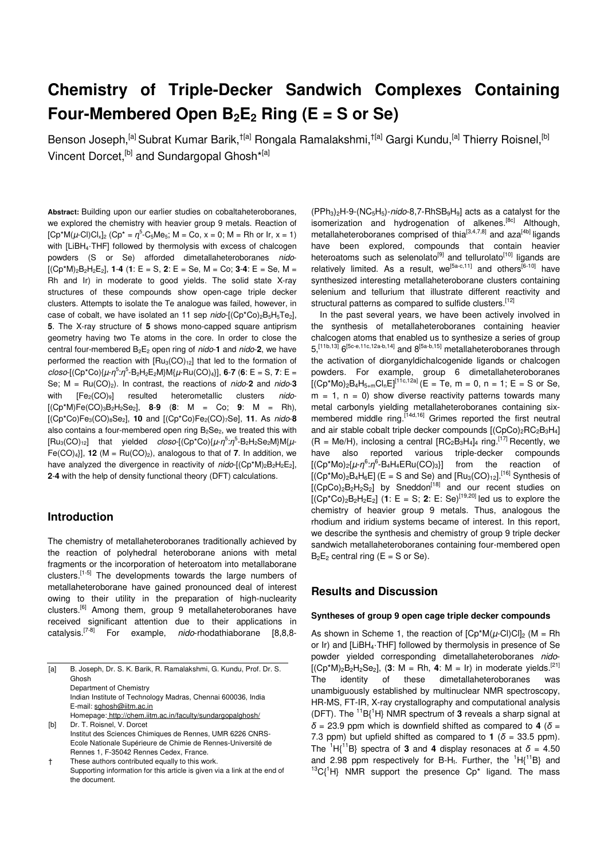# **Chemistry of Triple-Decker Sandwich Complexes Containing Four-Membered Open B2E2 Ring (E = S or Se)**

Benson Joseph,<sup>[a]</sup> Subrat Kumar Barik, <sup>†[a]</sup> Rongala Ramalakshmi, <sup>†[a]</sup> Gargi Kundu,<sup>[a]</sup> Thierry Roisnel,<sup>[b]</sup> Vincent Dorcet, <sup>[b]</sup> and Sundargopal Ghosh<sup>\*[a]</sup>

**Abstract:** Building upon our earlier studies on cobaltaheteroboranes, we explored the chemistry with heavier group 9 metals. Reaction of  $[Cp*M(\mu\text{-}Cl)Cl_{x}]_{2}$  ( $Cp* = \eta^{5}$ -C<sub>5</sub>Me<sub>5</sub>; M = Co, x = 0; M = Rh or Ir, x = 1) with [LiBH<sub>4</sub>·THF] followed by thermolysis with excess of chalcogen powders (S or Se) afforded dimetallaheteroboranes nido-  $[(Cp*M)_2B_2H_2E_2]$ , **1-4** (**1**:  $E = S$ , **2**:  $E = Se$ ,  $M = Co$ ; **3-4**:  $E = Se$ ,  $M =$ Rh and Ir) in moderate to good yields. The solid state X-ray structures of these compounds show open-cage triple decker clusters. Attempts to isolate the Te analogue was failed, however, in case of cobalt, we have isolated an 11 sep  $nido-[({Cp<sup>*</sup>Co})<sub>2</sub>B<sub>5</sub>H<sub>5</sub>Te<sub>2</sub>],$ **5**. The X-ray structure of **5** shows mono-capped square antiprism geometry having two Te atoms in the core. In order to close the central four-membered  $B_2E_2$  open ring of *nido*-1 and *nido*-2, we have performed the reaction with  $[Ru_3(CO)<sub>12</sub>]$  that led to the formation of  $\frac{c \cdot \cos(-(\text{Cp}^* \text{Co}) \cdot (\mu - \eta^5 \cdot \eta^5 - \text{B}_2 \text{H}_2 \text{E}_2 \text{M}) \cdot \text{M} \cdot (\mu - \text{Ru}(\text{CO})_4)}{(\mu - \text{Ru}(\text{CO})_4)}$ , **6-7** (6: E = S, 7: E = Se;  $M = Ru(CO)_2$ ). In contrast, the reactions of *nido*-2 and *nido*-3 with  $[Fe_2(CO)_9]$  resulted heterometallic clusters nido-[(Cp\*M)Fe(CO)3B2H2Se2], **8**-**9** (**8**: M = Co; **9**: M = Rh), [(Cp\*Co)Fe3(CO)8Se2], **10** and [(Cp\*Co)Fe2(CO)7Se], **11**. As nido-**8** also contains a four-membered open ring  $B_2Se_2$ , we treated this with [Ru<sub>3</sub>(CO)<sub>12</sub>] that yielded closo-[(Cp\*Co){μ-η<sup>5</sup>:η<sup>5</sup>-B<sub>2</sub>H<sub>2</sub>Se<sub>2</sub>M}M{μ-Fe(CO)<sub>4</sub>}], **12** (M = Ru(CO)<sub>2</sub>), analogous to that of **7**. In addition, we have analyzed the divergence in reactivity of  $nido$ -[(Cp\*M)<sub>2</sub>B<sub>2</sub>H<sub>2</sub>E<sub>2</sub>], **2**-**4** with the help of density functional theory (DFT) calculations.

### **Introduction**

The chemistry of metallaheteroboranes traditionally achieved by the reaction of polyhedral heteroborane anions with metal fragments or the incorporation of heteroatom into metallaborane clusters.<sup>[1-5]</sup> The developments towards the large numbers of metallaheteroborane have gained pronounced deal of interest owing to their utility in the preparation of high-nuclearity clusters.[6] Among them, group 9 metallaheteroboranes have received significant attention due to their applications in catalysis.<sup>[7-8]</sup> For example, *nido-rhodathiaborane* [8,8,8-

| [a] | B. Joseph, Dr. S. K. Barik, R. Ramalakshmi, G. Kundu, Prof. Dr. S.<br>Ghosh |
|-----|-----------------------------------------------------------------------------|
|     | Department of Chemistry                                                     |
|     | Indian Institute of Technology Madras, Chennai 600036, India                |
|     | E-mail: sghosh@iitm.ac.in                                                   |
|     | Homepage: http://chem.iitm.ac.in/faculty/sundargopalghosh/                  |
| [b] | Dr. T. Roisnel, V. Dorcet                                                   |
|     | Institut des Sciences Chimiques de Rennes, UMR 6226 CNRS-                   |

Ecole Nationale Supérieure de Chimie de Rennes-Université de Rennes 1, F-35042 Rennes Cedex, France. † These authors contributed equally to this work.

Supporting information for this article is given via a link at the end of the document.

 $(PPh<sub>3</sub>)<sub>2</sub>H-9-(NC<sub>5</sub>H<sub>5</sub>)-nido-8,7-RhSB<sub>9</sub>H<sub>9</sub>]$  acts as a catalyst for the isomerization and hydrogenation of alkenes.<sup>[8c]</sup> Although, metallaheteroboranes comprised of thia<sup>[3,4,7,8]</sup> and aza<sup>[4b]</sup> ligands have been explored, compounds that contain heavier heteroatoms such as selenolato<sup>[9]</sup> and tellurolato<sup>[10]</sup> ligands are relatively limited. As a result, we<sup>[5a-c,11]</sup> and others<sup>[6-10]</sup> have synthesized interesting metallaheteroborane clusters containing selenium and tellurium that illustrate different reactivity and structural patterns as compared to sulfide clusters.<sup>[12]</sup>

In the past several years, we have been actively involved in the synthesis of metallaheteroboranes containing heavier chalcogen atoms that enabled us to synthesize a series of group  $5,$ <sup>[11b,13]</sup>  $6$ <sup>[5c-e,11c,12a-b,14]</sup> and  $8$ <sup>[5a-b,15]</sup> metallaheteroboranes through the activation of diorganyldichalcogenide ligands or chalcogen powders. For example, group 6 dimetallaheteroboranes  $[(Cp*Mo)_2B_4H_{5+m}Cl_nE]^{[11c,12a]}$  (E = Te, m = 0, n = 1; E = S or Se,  $m = 1$ ,  $n = 0$ ) show diverse reactivity patterns towards many metal carbonyls yielding metallaheteroboranes containing sixmembered middle ring.<sup>[14d,16]</sup> Grimes reported the first neutral and air stable cobalt triple decker compounds  $[(CpCo)<sub>2</sub>RC<sub>2</sub>B<sub>3</sub>H<sub>4</sub>]$  $(R = Me/H)$ , inclosing a central  $[RC_2B_3H_4]_4$  ring.<sup>[17]</sup> Recently, we have also reported various triple-decker compounds [(Cp<sup>\*</sup>Mo)<sub>2</sub>{ $\mu$ -*η*<sup>6</sup>:*η*<sup>6</sup>-B<sub>4</sub>H<sub>4</sub>ERu(CO)<sub>3</sub>}] from the reaction of  $[({Cp*Mo})_2B_4H_6E]$  (E = S and Se) and  $[Ru_3(CO)_{12}]$ .<sup>[16]</sup> Synthesis of  $[(CpCo)<sub>2</sub>B<sub>2</sub>H<sub>2</sub>S<sub>2</sub>]$  by Sneddon<sup>[18]</sup> and our recent studies on  $[(C_{P}C_{P})/E_{P}C_{P}]$   $[CD \times CD]$   $[AD \times CD]$   $[AD \times CD]$   $[AD \times CD]$   $[AD \times CD]$   $[AD \times CD]$   $[AD \times CD]$   $[AD \times CD]$   $[AD \times CD]$   $[AD \times CD]$   $[AD \times CD]$   $[AD \times CD]$   $[AD \times CD]$   $[AD \times CD]$   $[AD \times CD]$   $[AD \times CD]$   $[AD \times CD]$   $[AD \times CD]$   $[AD \times CD]$   $[AD \times CD]$   $[AD \times CD]$   $[AD \times CD]$   $[$ chemistry of heavier group 9 metals. Thus, analogous the rhodium and iridium systems became of interest. In this report, we describe the synthesis and chemistry of group 9 triple decker sandwich metallaheteroboranes containing four-membered open  $B_2E_2$  central ring ( $E = S$  or Se).

## **Results and Discussion**

#### **Syntheses of group 9 open cage triple decker compounds**

As shown in Scheme 1, the reaction of  $[Ch^*M(\mu\text{-}Cl)Cl_2$  (M = Rh or Ir) and [LiBH4·THF] followed by thermolysis in presence of Se powder yielded corresponding dimetallaheteroboranes nido-  $[(Cp*M)_2B_2H_2Se_2]$ , (3: M = Rh, 4: M = Ir) in moderate yields.<sup>[21]</sup> The identity of these dimetallaheteroboranes was unambiguously established by multinuclear NMR spectroscopy, HR-MS, FT-IR, X-ray crystallography and computational analysis (DFT). The  ${}^{11}B_1{}^{1}H$  NMR spectrum of 3 reveals a sharp signal at  $\delta$  = 23.9 ppm which is downfield shifted as compared to 4 ( $\delta$  = 7.3 ppm) but upfield shifted as compared to **1** ( $\delta$  = 33.5 ppm). The <sup>1</sup>H{<sup>11</sup>B} spectra of **3** and **4** display resonaces at  $\delta$  = 4.50 and 2.98 ppm respectively for B-H<sub>t</sub>. Further, the <sup>1</sup>H $\{$ <sup>11</sup>B} and  ${}^{13}C$ { ${}^{1}H$ } NMR support the presence Cp<sup>\*</sup> ligand. The mass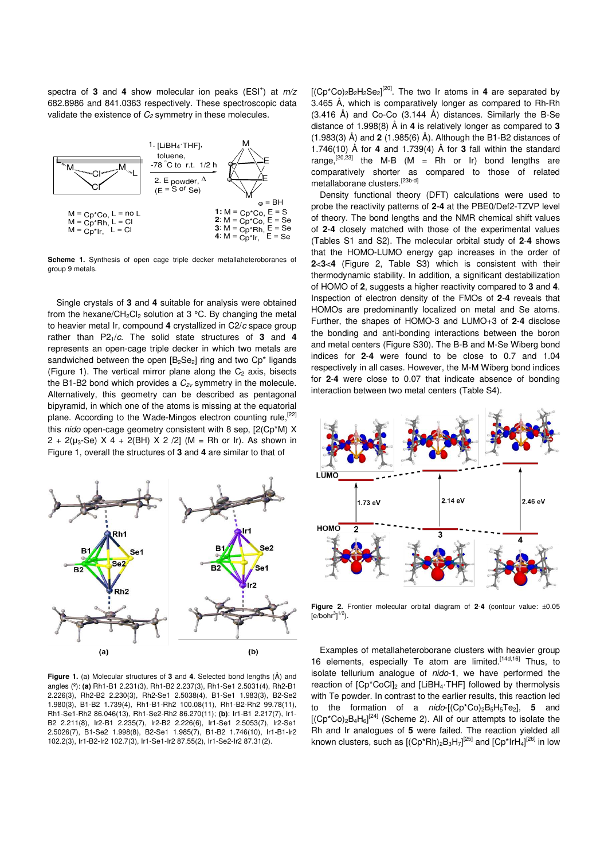spectra of 3 and 4 show molecular ion peaks (ESI<sup>+</sup>) at  $m/z$ 682.8986 and 841.0363 respectively. These spectroscopic data validate the existence of  $C_2$  symmetry in these molecules.



**Scheme 1.** Synthesis of open cage triple decker metallaheteroboranes of group 9 metals.

Single crystals of **3** and **4** suitable for analysis were obtained from the hexane/CH<sub>2</sub>Cl<sub>2</sub> solution at 3 °C. By changing the metal to heavier metal Ir, compound **4** crystallized in C2/c space group rather than  $P2_1/c$ . The solid state structures of 3 and 4 represents an open-cage triple decker in which two metals are sandwiched between the open  $[B_2Se_2]$  ring and two  $Cp^*$  ligands (Figure 1). The vertical mirror plane along the  $C_2$  axis, bisects the B1-B2 bond which provides a  $C_{2v}$  symmetry in the molecule. Alternatively, this geometry can be described as pentagonal bipyramid, in which one of the atoms is missing at the equatorial plane. According to the Wade-Mingos electron counting rule,<sup>[22]</sup> this nido open-cage geometry consistent with 8 sep, [2(Cp\*M) X  $2 + 2(\mu_3$ -Se) X 4 + 2(BH) X 2 /2] (M = Rh or Ir). As shown in Figure 1, overall the structures of **3** and **4** are similar to that of



**Figure 1.** (a) Molecular structures of **3** and **4**. Selected bond lengths (Å) and angles (º): **(a)** Rh1-B1 2.231(3), Rh1-B2 2.237(3), Rh1-Se1 2.5031(4), Rh2-B1 2.226(3), Rh2-B2 2.230(3), Rh2-Se1 2.5038(4), B1-Se1 1.983(3), B2-Se2 1.980(3), B1-B2 1.739(4), Rh1-B1-Rh2 100.08(11), Rh1-B2-Rh2 99.78(11), Rh1-Se1-Rh2 86.046(13), Rh1-Se2-Rh2 86.270(11); **(b)**: Ir1-B1 2.217(7), Ir1- B2 2.211(8), Ir2-B1 2.235(7), Ir2-B2 2.226(6), Ir1-Se1 2.5053(7), Ir2-Se1 2.5026(7), B1-Se2 1.998(8), B2-Se1 1.985(7), B1-B2 1.746(10), Ir1-B1-Ir2 102.2(3), Ir1-B2-Ir2 102.7(3), Ir1-Se1-Ir2 87.55(2), Ir1-Se2-Ir2 87.31(2).

 $[(Cp^*Co)_2B_2H_2Se_2]^{[20]}$ . The two Ir atoms in 4 are separated by 3.465 Å, which is comparatively longer as compared to Rh-Rh (3.416 Å) and Co-Co (3.144 Å) distances. Similarly the B-Se distance of 1.998(8) Å in **4** is relatively longer as compared to **3** (1.983(3) Å) and **2** (1.985(6) Å). Although the B1-B2 distances of 1.746(10) Å for **4** and 1.739(4) Å for **3** fall within the standard range,<sup>[20,23]</sup> the M-B (M = Rh or Ir) bond lengths are comparatively shorter as compared to those of related metallaborane clusters.<sup>[23b-d]</sup>

Density functional theory (DFT) calculations were used to probe the reactivity patterns of **2**-**4** at the PBE0/Def2-TZVP level of theory. The bond lengths and the NMR chemical shift values of **2**-**4** closely matched with those of the experimental values (Tables S1 and S2). The molecular orbital study of **2**-**4** shows that the HOMO-LUMO energy gap increases in the order of **2**<**3**<**4** (Figure 2, Table S3) which is consistent with their thermodynamic stability. In addition, a significant destabilization of HOMO of **2**, suggests a higher reactivity compared to **3** and **4**. Inspection of electron density of the FMOs of **2**-**4** reveals that HOMOs are predominantly localized on metal and Se atoms. Further, the shapes of HOMO-3 and LUMO+3 of **2**-**4** disclose the bonding and anti-bonding interactions between the boron and metal centers (Figure S30). The B-B and M-Se Wiberg bond indices for **2**-**4** were found to be close to 0.7 and 1.04 respectively in all cases. However, the M-M Wiberg bond indices for **2**-**4** were close to 0.07 that indicate absence of bonding interaction between two metal centers (Table S4).



**Figure 2.** Frontier molecular orbital diagram of **2**-**4** (contour value: ±0.05  $[$ e/bohr $^{3}]^{1/2}$ ).

Examples of metallaheteroborane clusters with heavier group 16 elements, especially Te atom are limited.<sup>[14d,16]</sup> Thus, to isolate tellurium analogue of nido-**1**, we have performed the reaction of  $[Cp*CoCl]_2$  and  $[LiBH_4·THF]$  followed by thermolysis with Te powder. In contrast to the earlier results, this reaction led to the formation of a nido-[(Cp\*Co)2B5H5Te2], **5** and  $[(Cp^*Co)_2B_4H_6]^{[24]}$  (Scheme 2). All of our attempts to isolate the Rh and Ir analogues of **5** were failed. The reaction yielded all known clusters, such as  $[(Cp*Rh)_2B_3H_7]^{[25]}$  and  $[Cp*IrH_4]^{[26]}$  in low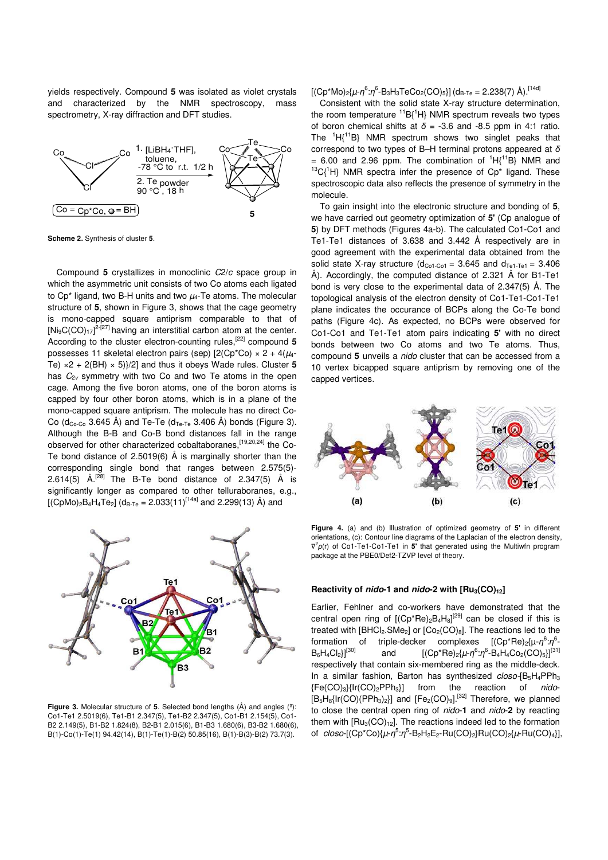yields respectively. Compound **5** was isolated as violet crystals and characterized by the NMR spectroscopy, mass spectrometry, X-ray diffraction and DFT studies.



**Scheme 2.** Synthesis of cluster **5**.

Compound **5** crystallizes in monoclinic C2/c space group in which the asymmetric unit consists of two Co atoms each ligated to Cp<sup>\*</sup> ligand, two B-H units and two  $\mu_4$ -Te atoms. The molecular structure of **5**, shown in Figure 3, shows that the cage geometry is mono-capped square antiprism comparable to that of  $[Ni<sub>9</sub>C(CO)<sub>17</sub>]^{2-[27]}$  having an interstitial carbon atom at the center. According to the cluster electron-counting rules,<sup>[22]</sup> compound 5 possesses 11 skeletal electron pairs (sep)  $[2(\text{Cp}^* \text{Co}) \times 2 + 4(\mu_4 - \sigma_4)]$ Te)  $\times$ 2 + 2(BH)  $\times$  5) $\frac{1}{2}$  and thus it obeys Wade rules. Cluster 5 has  $C_{2v}$  symmetry with two Co and two Te atoms in the open cage. Among the five boron atoms, one of the boron atoms is capped by four other boron atoms, which is in a plane of the mono-capped square antiprism. The molecule has no direct Co-Co (d<sub>Co-Co</sub> 3.645 Å) and Te-Te (d<sub>Te-Te</sub> 3.406 Å) bonds (Figure 3). Although the B-B and Co-B bond distances fall in the range observed for other characterized cobaltaboranes, [19,20,24] the Co-Te bond distance of 2.5019(6) Å is marginally shorter than the corresponding single bond that ranges between 2.575(5)- 2.614(5)  $\AA$ <sup>[28]</sup> The B-Te bond distance of 2.347(5)  $\AA$  is significantly longer as compared to other telluraboranes, e.g.,  $[(CpMo)<sub>2</sub>B<sub>4</sub>H<sub>4</sub>Te<sub>2</sub>]$  (d<sub>B-Te</sub> = 2.033(11)<sup>[14a]</sup> and 2.299(13) Å) and



**Figure 3.** Molecular structure of **5**. Selected bond lengths (Å) and angles (º): Co1-Te1 2.5019(6), Te1-B1 2.347(5), Te1-B2 2.347(5), Co1-B1 2.154(5), Co1- B2 2.149(5), B1-B2 1.824(8), B2-B1 2.015(6), B1-B3 1.680(6), B3-B2 1.680(6), B(1)-Co(1)-Te(1) 94.42(14), B(1)-Te(1)-B(2) 50.85(16), B(1)-B(3)-B(2) 73.7(3).

[(Cp\*Mo)<sub>2</sub>{μ-η<sup>6</sup>:η<sup>6</sup>-B<sub>3</sub>H<sub>3</sub>TeCo<sub>2</sub>(CO)<sub>5</sub>}] (d<sub>B-Te</sub> = 2.238(7) Å).<sup>[14d]</sup>

Consistent with the solid state X-ray structure determination, the room temperature  ${}^{11}B{}^{1}H$ } NMR spectrum reveals two types of boron chemical shifts at *δ* = -3.6 and -8.5 ppm in 4:1 ratio. The  ${}^{1}H{}^{11}B$ } NMR spectrum shows two singlet peaks that correspond to two types of B–H terminal protons appeared at *δ* = 6.00 and 2.96 ppm. The combination of  ${}^{1}H{^{11}B}$  NMR and  $13C$ <sup>1</sup>H} NMR spectra infer the presence of Cp<sup>\*</sup> ligand. These spectroscopic data also reflects the presence of symmetry in the molecule.

To gain insight into the electronic structure and bonding of **5**, we have carried out geometry optimization of **5'** (Cp analogue of **5**) by DFT methods (Figures 4a-b). The calculated Co1-Co1 and Te1-Te1 distances of 3.638 and 3.442 Å respectively are in good agreement with the experimental data obtained from the solid state X-ray structure  $(d_{C_01-C_01} = 3.645$  and  $d_{T_01-T_01} = 3.406$ Å). Accordingly, the computed distance of 2.321 Å for B1-Te1 bond is very close to the experimental data of 2.347(5) Å. The topological analysis of the electron density of Co1-Te1-Co1-Te1 plane indicates the occurance of BCPs along the Co-Te bond paths (Figure 4c). As expected, no BCPs were observed for Co1-Co1 and Te1-Te1 atom pairs indicating **5'** with no direct bonds between two Co atoms and two Te atoms. Thus, compound **5** unveils a nido cluster that can be accessed from a 10 vertex bicapped square antiprism by removing one of the capped vertices.



**Figure 4.** (a) and (b) Illustration of optimized geometry of **5'** in different orientations, (c): Contour line diagrams of the Laplacian of the electron density, ∇ 2 *ρ*(r) of Co1-Te1-Co1-Te1 in **5'** that generated using the Multiwfn program package at the PBE0/Def2-TZVP level of theory.

#### **Reactivity of nido-1 and nido-2 with [Ru3(CO)12]**

Earlier, Fehlner and co-workers have demonstrated that the central open ring of  $[(Cp*Re)_2B_4H_8]^{[29]}$  can be closed if this is treated with  $[BHCI<sub>2</sub>.SMe<sub>2</sub>]$  or  $[Co<sub>2</sub>(CO)<sub>8</sub>].$  The reactions led to the formation of triple-decker complexes [(Cp\*Re)<sub>2</sub>{μ-η<sup>6</sup>:η<sup>6</sup>  $B_6H_4Cl_2\}[^{[30]}$ and  $[(Cp*Re)_{2} {\{\mu\}} \eta^{6} \cdot \eta^{6} - B_{4}H_{4}Co_{2}(CO)_{5}]\$ <sup>[31]</sup> respectively that contain six-membered ring as the middle-deck. In a similar fashion, Barton has synthesized closo-[B<sub>5</sub>H<sub>4</sub>PPh<sub>3</sub>  ${Fe(CO)_3}{Irr(CO)_2PPh_3}$  from the reaction of nido- $[B_5H_8{Ir(CO)(PPh_3)_2}]$  and  $[Fe_2(CO)_9]$ .<sup>[32]</sup> Therefore, we planned to close the central open ring of nido-**1** and nido-**2** by reacting them with  $[Ru_3(CO)<sub>12</sub>]$ . The reactions indeed led to the formation of closo-[(Cp<sup>\*</sup>Co){μ-η<sup>5</sup>:η<sup>5</sup>-B<sub>2</sub>H<sub>2</sub>E<sub>2</sub>-Ru(CO)<sub>2</sub>}Ru(CO)<sub>2</sub>{μ-Ru(CO)<sub>4</sub>}],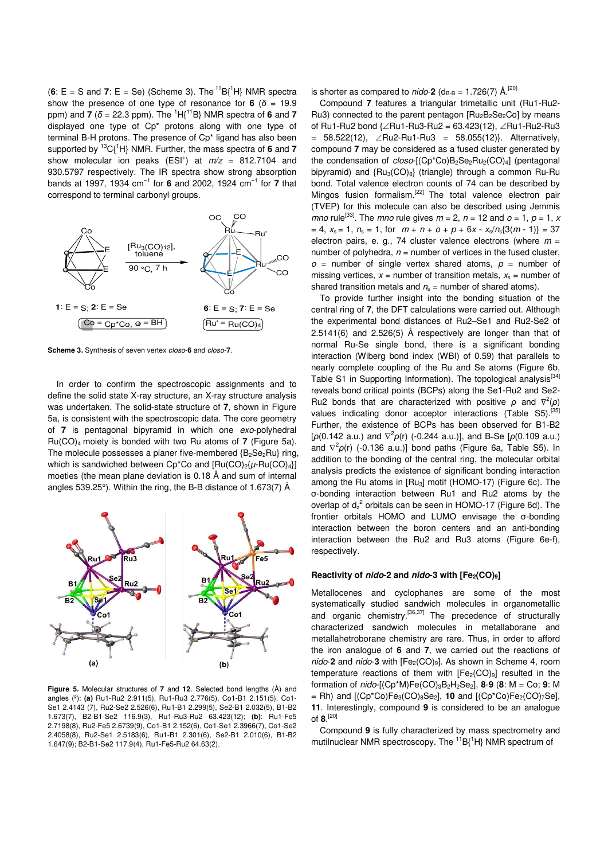$(6: E = S$  and **7**:  $E = Se$ ) (Scheme 3). The <sup>11</sup>B{<sup>1</sup>H} NMR spectra show the presence of one type of resonance for  $6$  ( $\delta$  = 19.9) ppm) and **7** (*δ* = 22.3 ppm). The <sup>1</sup>H{<sup>11</sup>B} NMR spectra of **6** and **7** displayed one type of Cp\* protons along with one type of terminal B-H protons. The presence of Cp\* ligand has also been supported by <sup>13</sup>C{<sup>1</sup>H} NMR. Further, the mass spectra of **6** and **7** show molecular ion peaks (ESI<sup>+</sup>) at  $m/z = 812.7104$  and 930.5797 respectively. The IR spectra show strong absorption bands at 1997, 1934 cm<sup>−</sup><sup>1</sup> for **6** and 2002, 1924 cm<sup>−</sup><sup>1</sup> for **7** that correspond to terminal carbonyl groups.



**Scheme 3.** Synthesis of seven vertex closo-**6** and closo-**7**.

In order to confirm the spectroscopic assignments and to define the solid state X-ray structure, an X-ray structure analysis was undertaken. The solid-state structure of **7**, shown in Figure 5a, is consistent with the spectroscopic data. The core geometry of **7** is pentagonal bipyramid in which one exo-polyhedral Ru(CO)4 moiety is bonded with two Ru atoms of **7** (Figure 5a). The molecule possesses a planer five-membered  ${B_2Se_2Ru}$  ring, which is sandwiched between  $Cp^*Co$  and  $[Ru(CO)<sub>2</sub>{\mu$ -Ru(CO)<sub>4</sub> $]$ moeties (the mean plane deviation is 0.18 Å and sum of internal angles 539.25°). Within the ring, the B-B distance of 1.673(7) Å



**Figure 5.** Molecular structures of **7** and **12**. Selected bond lengths (Å) and angles (º): **(a)** Ru1-Ru2 2.911(5), Ru1-Ru3 2.776(5), Co1-B1 2.151(5), Co1- Se1 2.4143 (7), Ru2-Se2 2.526(6), Ru1-B1 2.299(5), Se2-B1 2.032(5), B1-B2 1.673(7), B2-B1-Se2 116.9(3), Ru1-Ru3-Ru2 63.423(12); **(b)**: Ru1-Fe5 2.7198(8), Ru2-Fe5 2.6739(9), Co1-B1 2.152(6), Co1-Se1 2.3966(7), Co1-Se2 2.4058(8), Ru2-Se1 2.5183(6), Ru1-B1 2.301(6), Se2-B1 2.010(6), B1-B2 1.647(9); B2-B1-Se2 117.9(4), Ru1-Fe5-Ru2 64.63(2).

is shorter as compared to  $nido-2$  ( $d_{B-B} = 1.726(7)$  Å.<sup>[20]</sup>

Compound **7** features a triangular trimetallic unit (Ru1-Ru2- Ru3) connected to the parent pentagon  $[Ru_2B_2Se_2Co]$  by means of Ru1-Ru2 bond {∠Ru1-Ru3-Ru2 = 63.423(12), ∠Ru1-Ru2-Ru3 = 58.522(12), ∠Ru2-Ru1-Ru3 = 58.055(12)}. Alternatively, compound **7** may be considered as a fused cluster generated by the condensation of  $closo$ -[(Cp\*Co)B<sub>2</sub>Se<sub>2</sub>Ru<sub>2</sub>(CO)<sub>4</sub>] (pentagonal bipyramid) and  ${Ru<sub>3</sub>(CO)<sub>8</sub>}$  (triangle) through a common Ru-Ru bond. Total valence electron counts of 74 can be described by Mingos fusion formalism.[22] The total valence electron pair (TVEP) for this molecule can also be described using Jemmis mno rule<sup>[33]</sup>. The mno rule gives  $m = 2$ ,  $n = 12$  and  $o = 1$ ,  $p = 1$ , x  $= 4$ ,  $x_s = 1$ ,  $n_s = 1$ , for  $m + n + o + p + 6x - x_s/n_s[3(m - 1)] = 37$ electron pairs, e. g., 74 cluster valence electrons (where  $m =$ number of polyhedra,  $n =$  number of vertices in the fused cluster,  $o$  = number of single vertex shared atoms,  $p$  = number of missing vertices,  $x =$  number of transition metals,  $x_s =$  number of shared transition metals and  $n_s$  = number of shared atoms).

To provide further insight into the bonding situation of the central ring of **7**, the DFT calculations were carried out. Although the experimental bond distances of Ru2–Se1 and Ru2-Se2 of 2.5141(6) and 2.526(5) Å respectively are longer than that of normal Ru-Se single bond, there is a significant bonding interaction (Wiberg bond index (WBI) of 0.59) that parallels to nearly complete coupling of the Ru and Se atoms (Figure 6b, Table S1 in Supporting Information). The topological analysis<sup>[34]</sup> reveals bond critical points (BCPs) along the Se1-Ru2 and Se2- Ru2 bonds that are characterized with positive  $ρ$  and  $∇<sup>2</sup>(ρ)$ values indicating donor acceptor interactions (Table S5).<sup>[3</sup> Further, the existence of BCPs has been observed for B1-B2 [ $\rho$ (0.142 a.u.) and  $\nabla^2 \rho(r)$  (-0.244 a.u.)], and B-Se [ $\rho$ (0.109 a.u.) and  $\nabla^2 \rho(r)$  (-0.136 a.u.)] bond paths (Figure 6a, Table S5). In addition to the bonding of the central ring, the molecular orbital analysis predicts the existence of significant bonding interaction among the Ru atoms in [Ru3] motif (HOMO-17) (Figure 6c). The σ-bonding interaction between Ru1 and Ru2 atoms by the overlap of  $d_z^2$  orbitals can be seen in HOMO-17 (Figure 6d). The frontier orbitals HOMO and LUMO envisage the σ-bonding interaction between the boron centers and an anti-bonding interaction between the Ru2 and Ru3 atoms (Figure 6e-f), respectively.

#### **Reactivity of nido-2 and nido-3 with [Fe2(CO)9]**

Metallocenes and cyclophanes are some of the most systematically studied sandwich molecules in organometallic and organic chemistry.<sup>[36,37]</sup> The precedence of structurally characterized sandwich molecules in metallaborane and metallahetroborane chemistry are rare. Thus, in order to afford the iron analogue of **6** and **7**, we carried out the reactions of nido-2 and nido-3 with [Fe<sub>2</sub>(CO)<sub>9</sub>]. As shown in Scheme 4, room temperature reactions of them with  $[Fe<sub>2</sub>(CO)<sub>9</sub>]$  resulted in the formation of nido-[(Cp\*M)Fe(CO)3B2H2Se2], **8**-**9** (**8**: M = Co; **9**: M  $=$  Rh) and  $[(Cp<sup>*</sup>Co)Fe<sub>3</sub>(CO)<sub>8</sub>Se<sub>2</sub>],$  **10** and  $[(Cp<sup>*</sup>Co)Fe<sub>2</sub>(CO)<sub>7</sub>Se],$ **11**. Interestingly, compound **9** is considered to be an analogue of **8**. [20]

Compound **9** is fully characterized by mass spectrometry and mutilnuclear NMR spectroscopy. The  ${}^{11}B_1{}^{1}H$  NMR spectrum of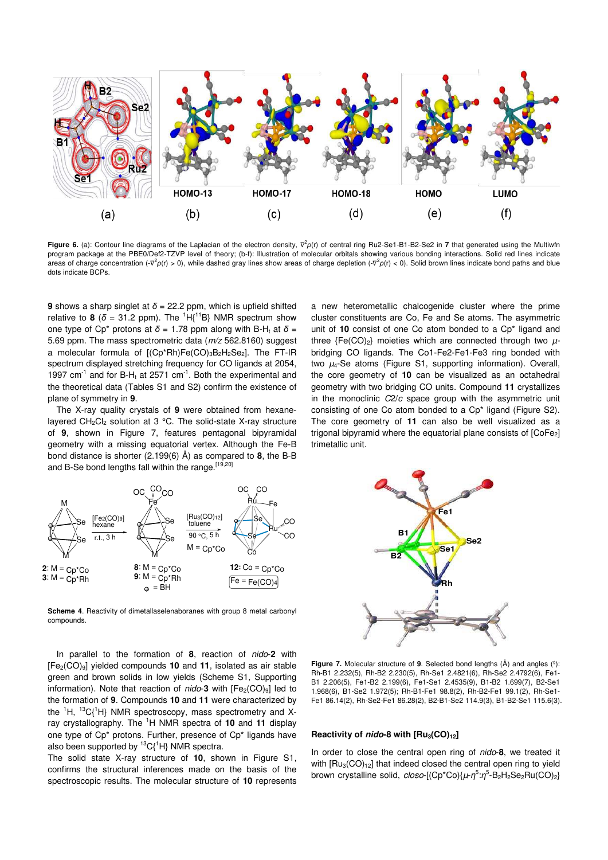

**Figure 6.** (a): Contour line diagrams of the Laplacian of the electron density,  $∇^2ρ(r)$  of central ring Ru2-Se1-B1-B2-Se2 in **7** that generated using the Multiwfn program package at the PBE0/Def2-TZVP level of theory; (b-f): Illustration of molecular orbitals showing various bonding interactions. Solid red lines indicate areas of charge concentration (-∇<sup>2</sup>ρ(r) > 0), while dashed gray lines show areas of charge depletion (-∇<sup>2</sup>ρ(r) < 0). Solid brown lines indicate bond paths and blue dots indicate BCPs.

**9** shows a sharp singlet at  $\delta$  = 22.2 ppm, which is upfield shifted relative to **8** ( $\delta$  = 31.2 ppm). The <sup>1</sup>H{<sup>11</sup>B} NMR spectrum show one type of Cp<sup>\*</sup> protons at  $\delta$  = 1.78 ppm along with B-H<sub>t</sub> at  $\delta$  = 5.69 ppm. The mass spectrometric data (m/z 562.8160) suggest a molecular formula of  $[(Cp*Rh)Fe(CO)_{3}B_{2}H_{2}Se_{2}]$ . The FT-IR spectrum displayed stretching frequency for CO ligands at 2054, 1997  $cm^{-1}$  and for B-H<sub>t</sub> at 2571  $cm^{-1}$ . Both the experimental and the theoretical data (Tables S1 and S2) confirm the existence of plane of symmetry in **9**.

The X-ray quality crystals of **9** were obtained from hexanelayered  $CH_2Cl_2$  solution at 3 °C. The solid-state X-ray structure of **9**, shown in Figure 7, features pentagonal bipyramidal geometry with a missing equatorial vertex. Although the Fe-B bond distance is shorter (2.199(6) Å) as compared to **8**, the B-B and B-Se bond lengths fall within the range.<sup>[19,20]</sup>



**Scheme 4.** Reactivity of dimetallaselenaboranes with group 8 metal carbonyl compounds.

In parallel to the formation of **8**, reaction of nido-**2** with [Fe2(CO)9] yielded compounds **10** and **11**, isolated as air stable green and brown solids in low yields (Scheme S1, Supporting information). Note that reaction of  $nido-3$  with  $[Fe<sub>2</sub>(CO)<sub>9</sub>]$  led to the formation of **9**. Compounds **10** and **11** were characterized by the  ${}^{1}H$ ,  ${}^{13}C$ <sup>1</sup>H} NMR spectroscopy, mass spectrometry and Xray crystallography. The <sup>1</sup>H NMR spectra of **10** and **11** display one type of Cp\* protons. Further, presence of Cp\* ligands have also been supported by  ${}^{13}C(^{1}H)$  NMR spectra.

The solid state X-ray structure of **10**, shown in Figure S1, confirms the structural inferences made on the basis of the spectroscopic results. The molecular structure of **10** represents a new heterometallic chalcogenide cluster where the prime cluster constituents are Co, Fe and Se atoms. The asymmetric unit of **10** consist of one Co atom bonded to a Cp\* ligand and three  ${Fe({\rm CO})_2}$  moieties which are connected through two  $\mu$ bridging CO ligands. The Co1-Fe2-Fe1-Fe3 ring bonded with two  $\mu_4$ -Se atoms (Figure S1, supporting information). Overall, the core geometry of **10** can be visualized as an octahedral geometry with two bridging CO units. Compound **11** crystallizes in the monoclinic  $C2/c$  space group with the asymmetric unit consisting of one Co atom bonded to a Cp\* ligand (Figure S2). The core geometry of **11** can also be well visualized as a trigonal bipyramid where the equatorial plane consists of  $[CoFe<sub>2</sub>]$ trimetallic unit.



**Figure 7.** Molecular structure of **9**. Selected bond lengths (Å) and angles (º): Rh-B1 2.232(5), Rh-B2 2.230(5), Rh-Se1 2.4821(6), Rh-Se2 2.4792(6), Fe1- B1 2.206(5), Fe1-B2 2.199(6), Fe1-Se1 2.4535(9), B1-B2 1.699(7), B2-Se1 1.968(6), B1-Se2 1.972(5); Rh-B1-Fe1 98.8(2), Rh-B2-Fe1 99.1(2), Rh-Se1- Fe1 86.14(2), Rh-Se2-Fe1 86.28(2), B2-B1-Se2 114.9(3), B1-B2-Se1 115.6(3).

### **Reactivity of nido-8 with [Ru3(CO)12]**

In order to close the central open ring of nido-**8**, we treated it with  $[Ru_3(CO)_{12}]$  that indeed closed the central open ring to vield brown crystalline solid, *closo*-[(Cp\*Co){μ-η<sup>5</sup>:η<sup>5</sup>-B<sub>2</sub>H<sub>2</sub>Se<sub>2</sub>Ru(CO)<sub>2</sub>}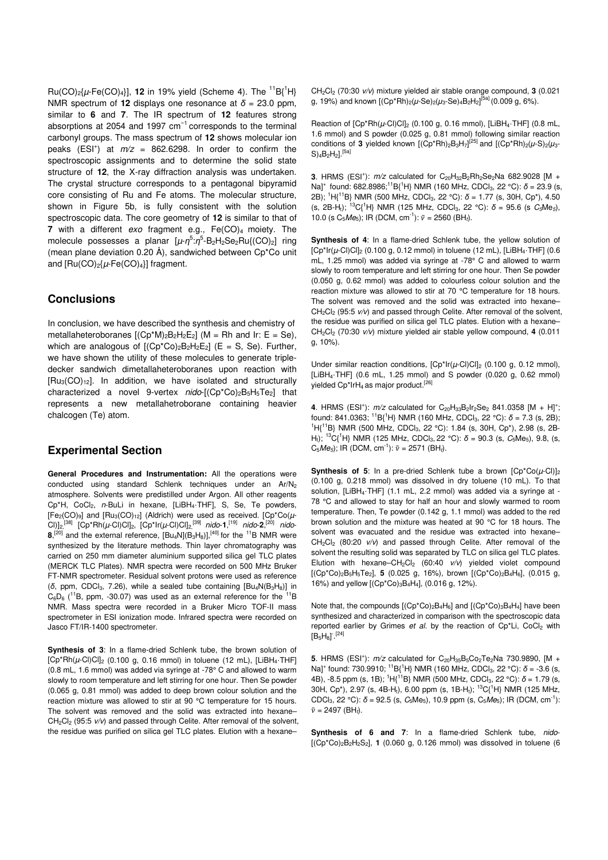$Ru(CO)_{2}$ [ $\mu$ -Fe(CO)<sub>4</sub>]], **12** in 19% yield (Scheme 4). The <sup>11</sup>B{<sup>1</sup>H} NMR spectrum of **12** displays one resonance at *δ* = 23.0 ppm, similar to **6** and **7**. The IR spectrum of **12** features strong absorptions at 2054 and 1997 cm<sup>-1</sup> corresponds to the terminal carbonyl groups. The mass spectrum of **12** shows molecular ion peaks (ESI<sup>+</sup>) at  $m/z = 862.6298$ . In order to confirm the spectroscopic assignments and to determine the solid state structure of **12**, the X-ray diffraction analysis was undertaken. The crystal structure corresponds to a pentagonal bipyramid core consisting of Ru and Fe atoms. The molecular structure, shown in Figure 5b, is fully consistent with the solution spectroscopic data. The core geometry of **12** is similar to that of **7** with a different  $exo$  fragment e.g.,  $Fe(CO)<sub>4</sub>$  moiety. The molecule possesses a planar [μ-η<sup>5</sup>:η<sup>5</sup>-Β<sub>2</sub>Η<sub>2</sub>Se<sub>2</sub>Ru{(CO)<sub>2</sub>] ring (mean plane deviation 0.20 Å), sandwiched between Cp\*Co unit and  $[Ru(CO)<sub>2</sub>{\mu$ -Fe(CO)<sub>4</sub>}] fragment.

## **Conclusions**

In conclusion, we have described the synthesis and chemistry of metallaheteroboranes  $[(Cp^*M)_2B_2H_2E_2]$  (M = Rh and Ir: E = Se), which are analogous of  $[(Cp*C<sub>0</sub>)<sub>2</sub>B<sub>2</sub>H<sub>2</sub>E<sub>2</sub>]$  (E = S, Se). Further, we have shown the utility of these molecules to generate tripledecker sandwich dimetallaheteroboranes upon reaction with  $[Ru_3(CO)_{12}]$ . In addition, we have isolated and structurally characterized a novel 9-vertex  $nido$ [ $(Cp^*Co)_2B_5H_5Te_2$ ] that represents a new metallahetroborane containing heavier chalcogen (Te) atom.

## **Experimental Section**

**General Procedures and Instrumentation:** All the operations were conducted using standard Schlenk techniques under an Ar/N<sub>2</sub> atmosphere. Solvents were predistilled under Argon. All other reagents Cp<sup>\*</sup>H, CoCl<sub>2</sub>, n-BuLi in hexane, [LiBH<sub>4</sub>·THF], S, Se, Te powders,  $[Fe<sub>2</sub>(CO)<sub>9</sub>]$  and  $[Ru<sub>3</sub>(CO)<sub>12</sub>]$  (Aldrich) were used as received.  $[Cp*CO(\mu-1)]$ Cl)]<sub>2,</sub><sup>[38]</sup> [Cp\*Rh(µ-Cl)Cl]<sub>2</sub>, [Cp\*Ir(µ-Cl)Cl]<sub>2,</sub><sup>[39]</sup> nido-**1**,<sup>[19]</sup> nido-**2**,<sup>[20]</sup> nido- $8,$ <sup>[20]</sup> and the external reference,  $[Bu_4N](B_3H_8)]$ ,<sup>[40]</sup> for the <sup>11</sup>B NMR were synthesized by the literature methods. Thin layer chromatography was carried on 250 mm diameter aluminium supported silica gel TLC plates (MERCK TLC Plates). NMR spectra were recorded on 500 MHz Bruker FT-NMR spectrometer. Residual solvent protons were used as reference (*δ*, ppm, CDCl3, 7.26), while a sealed tube containing [Bu4N(B3H8)] in  $C_6D_6$  (<sup>11</sup>B, ppm, -30.07) was used as an external reference for the <sup>11</sup>B NMR. Mass spectra were recorded in a Bruker Micro TOF-II mass spectrometer in ESI ionization mode. Infrared spectra were recorded on Jasco FT/IR-1400 spectrometer.

**Synthesis of 3**: In a flame-dried Schlenk tube, the brown solution of  $[Cp*Rh(\mu\text{-}Cl)Cl]_2$  (0.100 g, 0.16 mmol) in toluene (12 mL),  $[LiBH_4\text{-}THF]$ (0.8 mL, 1.6 mmol) was added via syringe at -78° C and allowed to warm slowly to room temperature and left stirring for one hour. Then Se powder (0.065 g, 0.81 mmol) was added to deep brown colour solution and the reaction mixture was allowed to stir at 90 °C temperature for 15 hours. The solvent was removed and the solid was extracted into hexane–  $CH_2Cl_2$  (95:5  $v/v$ ) and passed through Celite. After removal of the solvent, the residue was purified on silica gel TLC plates. Elution with a hexane–

CH2Cl<sup>2</sup> (70:30 v/v) mixture yielded air stable orange compound, **3** (0.021 g, 19%) and known [(Cp\*Rh)<sub>2</sub>(μ-Se)<sub>2</sub>(μ<sub>3</sub>-Se)<sub>4</sub>B<sub>2</sub>H<sub>2</sub>]<sup>[5a]</sup> (0.009 g, 6%).

Reaction of  $[Cp*Rh(\mu\text{-}Cl)Cl]_2$  (0.100 g, 0.16 mmol),  $[LiBH_4\text{-}THF]$  (0.8 mL, 1.6 mmol) and S powder (0.025 g, 0.81 mmol) following similar reaction conditions of **3** yielded known [(Cp\*Rh)<sub>2</sub>B<sub>3</sub>H<sub>7</sub>[<sup>[25]</sup> and [(Cp\*Rh)<sub>2</sub>(μ-S)<sub>2</sub>(μ<sub>3</sub>- $S)_{4}B_{2}H_{2}$ ].<sup>[5a]</sup>

**3**. HRMS (ESI<sup>+</sup>):  $m/z$  calculated for  $C_{20}H_{32}B_2Rh_2Se_2Na$  682.9028 [M + Na]<sup>+</sup> found: 682.8986;<sup>11</sup>B{<sup>1</sup>H} NMR (160 MHz, CDCl<sub>3</sub>, 22 °C): *δ* = 23.9 (s, 2B); <sup>1</sup>H{<sup>11</sup>B} NMR (500 MHz, CDCl<sub>3</sub>, 22 °C):  $\delta$  = 1.77 (s, 30H, Cp<sup>\*</sup>), 4.50 (s, 2B-H<sub>t</sub>); <sup>13</sup>C{<sup>1</sup>H} NMR (125 MHz, CDCl<sub>3</sub>, 22 °C):  $\delta$  = 95.6 (s C<sub>5</sub>Me<sub>5</sub>), 10.0 (s C<sub>5</sub>Me<sub>5</sub>); IR (DCM, cm<sup>-1</sup>):  $\tilde{v} = 2560$  (BH<sub>t</sub>).

**Synthesis of 4**: In a flame-dried Schlenk tube, the yellow solution of  $[Cp^*Ir(\mu\text{-}Cl)Cl]_2$  (0.100 g, 0.12 mmol) in toluene (12 mL),  $[LiBH_4\text{-}THF]$  (0.6 mL, 1.25 mmol) was added via syringe at -78° C and allowed to warm slowly to room temperature and left stirring for one hour. Then Se powder (0.050 g, 0.62 mmol) was added to colourless colour solution and the reaction mixture was allowed to stir at 70 °C temperature for 18 hours. The solvent was removed and the solid was extracted into hexane–  $CH_2Cl_2$  (95:5  $v/v$ ) and passed through Celite. After removal of the solvent, the residue was purified on silica gel TLC plates. Elution with a hexane– CH2Cl<sup>2</sup> (70:30 v/v) mixture yielded air stable yellow compound, **4** (0.011 g, 10%).

Under similar reaction conditions,  $[Cp^*Ir(\mu-C)Cl]_2$  (0.100 g, 0.12 mmol),  $[LiBH<sub>4</sub>·THF]$  (0.6 mL, 1.25 mmol) and S powder (0.020 g, 0.62 mmol) yielded  $Cp^*IrH_4$  as major product.<sup>[26]</sup>

**4.** HRMS (ESI<sup>+</sup>):  $m/z$  calculated for  $C_{20}H_{33}B_2Ir_2Se_2$  841.0358 [M + H]<sup>+</sup>; found: 841.0363; <sup>11</sup>B{<sup>1</sup>H} NMR (160 MHz, CDCl<sub>3</sub>, 22 °C):  $\delta$  = 7.3 (s, 2B); <sup>1</sup>H{<sup>11</sup>B} NMR (500 MHz, CDCl<sub>3</sub>, 22 °C): 1.84 (s, 30H, Cp<sup>\*</sup>), 2.98 (s, 2B-H<sub>t</sub>); <sup>13</sup>C{<sup>1</sup>H} NMR (125 MHz, CDCl<sub>3</sub>, 22 °C):  $\delta$  = 90.3 (s, C<sub>5</sub>Me<sub>5</sub>), 9.8, (s,  $C_5Me_5$ ; IR (DCM, cm<sup>-1</sup>):  $\tilde{v} = 2571$  (BH<sub>t</sub>).

**Synthesis of 5:** In a pre-dried Schlenk tube a brown  $[Cb^*Co(u-C)])_2$ (0.100 g, 0.218 mmol) was dissolved in dry toluene (10 mL). To that solution, [LiBH4·THF] (1.1 mL, 2.2 mmol) was added via a syringe at - 78 °C and allowed to stay for half an hour and slowly warmed to room temperature. Then, Te powder (0.142 g, 1.1 mmol) was added to the red brown solution and the mixture was heated at 90 °C for 18 hours. The solvent was evacuated and the residue was extracted into hexane–  $CH_2Cl_2$  (80:20  $v/v$ ) and passed through Celite. After removal of the solvent the resulting solid was separated by TLC on silica gel TLC plates. Elution with hexane–CH<sub>2</sub>Cl<sub>2</sub> (60:40  $v/v$ ) yielded violet compound [(Cp\*Co)2B5H5Te2], **5** (0.025 g, 16%), brown [(Cp\*Co)2B4H6], (0.015 g, 16%) and yellow [(Cp\*Co)3B4H4], (0.016 g, 12%).

Note that, the compounds  $[(Cp^*Co)_2B_4H_6]$  and  $[(Cp^*Co)_3B_4H_4]$  have been synthesized and characterized in comparison with the spectroscopic data reported earlier by Grimes et al. by the reaction of  $Cp^*Li$ ,  $CoCl<sub>2</sub>$  with  $[B_5H_8]^{-.[24]}$ 

**5**. HRMS (ESI<sup>+</sup>):  $m/z$  calculated for  $C_{20}H_{35}B_5C_0C_2Te_2Na$  730.9890, [M + Na]<sup>+</sup> found: 730.9910; <sup>11</sup>B{<sup>1</sup>H} NMR (160 MHz, CDCl<sub>3</sub>, 22 °C): δ = -3.6 (s, 4B), -8.5 ppm (s, 1B); <sup>1</sup>H{<sup>11</sup>B} NMR (500 MHz, CDCl<sub>3</sub>, 22 °C):  $\delta$  = 1.79 (s, 30H, Cp<sup>\*</sup>), 2.97 (s, 4B-H<sub>t</sub>), 6.00 ppm (s, 1B-H<sub>t</sub>); <sup>13</sup>C{<sup>1</sup>H} NMR (125 MHz, CDCl<sub>3</sub>, 22 °C):  $\delta$  = 92.5 (s, C<sub>5</sub>Me<sub>5</sub>), 10.9 ppm (s, C<sub>5</sub>Me<sub>5</sub>); IR (DCM, cm<sup>-1</sup>):  $\tilde{v} = 2497$  (BH<sub>t</sub>).

Synthesis of 6 and 7: In a flame-dried Schlenk tube, nido-[(Cp\*Co)2B2H2S2], **1** (0.060 g, 0.126 mmol) was dissolved in toluene (6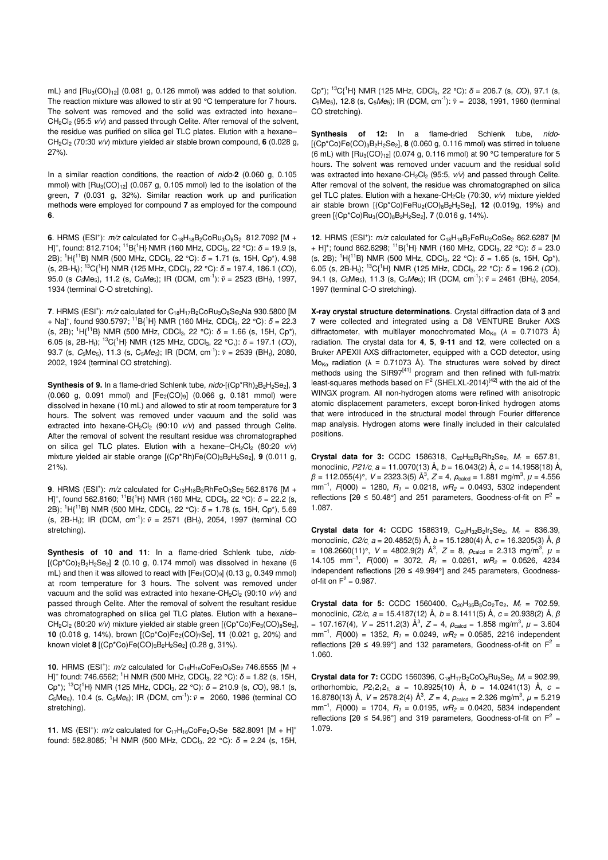mL) and  $[Ru_3(CO)_{12}]$  (0.081 g, 0.126 mmol) was added to that solution. The reaction mixture was allowed to stir at 90 °C temperature for 7 hours. The solvent was removed and the solid was extracted into hexane–  $CH<sub>2</sub>Cl<sub>2</sub>$  (95:5  $v/v$ ) and passed through Celite. After removal of the solvent, the residue was purified on silica gel TLC plates. Elution with a hexane– CH2Cl<sup>2</sup> (70:30 v/v) mixture yielded air stable brown compound, **6** (0.028 g, 27%).

In a similar reaction conditions, the reaction of nido-**2** (0.060 g, 0.105 mmol) with  $[Ru_3(CO)_{12}]$  (0.067 g, 0.105 mmol) led to the isolation of the green, **7** (0.031 g, 32%). Similar reaction work up and purification methods were employed for compound **7** as employed for the compound **6**.

**6.** HRMS (ESI<sup>+</sup>):  $m/z$  calculated for  $C_{18}H_{18}B_2CoRu_3O_8S_2$  812.7092 [M + H]<sup>+</sup>, found: 812.7104; <sup>11</sup>B{<sup>1</sup>H} NMR (160 MHz, CDCl<sub>3</sub>, 22 °C): δ = 19.9 (s, 2B); <sup>1</sup>H{<sup>11</sup>B} NMR (500 MHz, CDCl<sub>3</sub>, 22 °C):  $\delta$  = 1.71 (s, 15H, Cp<sup>\*</sup>), 4.98 (s, 2B-H<sub>t</sub>); <sup>13</sup>C{<sup>1</sup>H} NMR (125 MHz, CDCl<sub>3</sub>, 22 °C):  $\delta$  = 197.4, 186.1 (*CO*), 95.0 (s  $C_5Me_5$ ), 11.2 (s,  $C_5Me_5$ ); IR (DCM, cm<sup>-1</sup>):  $\tilde{v} = 2523$  (BH<sub>t</sub>), 1997, 1934 (terminal C-O stretching).

**7**. HRMS (ESI<sup>+</sup>):  $m/z$  calculated for  $C_{18}H_{17}B_2CoRu_3O_8Se_2Na$  930.5800 [M + Na]<sup>+</sup>, found 930.5797; <sup>11</sup>B{<sup>1</sup>H} NMR (160 MHz, CDCl<sub>3</sub>, 22 °C): δ = 22.3 (s, 2B); <sup>1</sup>H{<sup>11</sup>B} NMR (500 MHz, CDCl<sub>3</sub>, 22 °C):  $\delta$  = 1.66 (s, 15H, Cp<sup>\*</sup>), 6.05 (s, 2B-H<sub>t</sub>); <sup>13</sup>C{<sup>1</sup>H} NMR (125 MHz, CDCl<sub>3</sub>, 22 °C,):  $\delta$  = 197.1 (*CO*), 93.7 (s,  $C_5Me_5$ ), 11.3 (s,  $C_5Me_5$ ); IR (DCM, cm<sup>-1</sup>):  $\tilde{v} = 2539$  (BH<sub>t</sub>), 2080, 2002, 1924 (terminal CO stretching).

**Synthesis of 9.** In a flame-dried Schlenk tube, nido-[(Cp\*Rh)<sub>2</sub>B<sub>2</sub>H<sub>2</sub>Se<sub>2</sub>], 3  $(0.060 \text{ g}, 0.091 \text{ mmol})$  and  $[Fe<sub>2</sub>(CO)<sub>9</sub>]$   $(0.066 \text{ g}, 0.181 \text{ mmol})$  were dissolved in hexane (10 mL) and allowed to stir at room temperature for **3** hours. The solvent was removed under vacuum and the solid was extracted into hexane-CH<sub>2</sub>Cl<sub>2</sub> (90:10  $v/v$ ) and passed through Celite. After the removal of solvent the resultant residue was chromatographed on silica gel TLC plates. Elution with a hexane–CH<sub>2</sub>Cl<sub>2</sub> (80:20  $v/v$ ) mixture yielded air stable orange [(Cp\*Rh)Fe(CO)<sub>3</sub>B<sub>2</sub>H<sub>2</sub>Se<sub>2</sub>], 9 (0.011 g, 21%).

**9**. HRMS (ESI<sup>+</sup>):  $m/z$  calculated for  $C_{13}H_{18}B_2RhFeO_3Se_2 562.8176$  [M + H]<sup>+</sup>, found 562.8160; <sup>11</sup>B{<sup>1</sup>H} NMR (160 MHz, CDCl<sub>3</sub>, 22 °C):  $\delta$  = 22.2 (s, 2B); <sup>1</sup>H{<sup>11</sup>B} NMR (500 MHz, CDCl3, 22 °C): *δ* = 1.78 (s, 15H, Cp\*), 5.69 (s, 2B-H<sub>t</sub>); IR (DCM, cm<sup>-1</sup>):  $\tilde{v} = 2571$  (BH<sub>t</sub>), 2054, 1997 (terminal CO stretching).

Synthesis of 10 and 11: In a flame-dried Schlenk tube, nido-[(Cp\*Co)2B2H2Se2] **2** (0.10 g, 0.174 mmol) was dissolved in hexane (6 mL) and then it was allowed to react with  $[Fe<sub>2</sub>(CO)<sub>9</sub>]$  (0.13 g, 0.349 mmol) at room temperature for 3 hours. The solvent was removed under vacuum and the solid was extracted into hexane-CH<sub>2</sub>Cl<sub>2</sub> (90:10  $v/v$ ) and passed through Celite. After the removal of solvent the resultant residue was chromatographed on silica gel TLC plates. Elution with a hexane– CH<sub>2</sub>Cl<sub>2</sub> (80:20 v/v) mixture yielded air stable green [(Cp\*Co)Fe<sub>3</sub>(CO)<sub>8</sub>Se<sub>2</sub>], **10** (0.018 g, 14%), brown [(Cp\*Co)Fe<sub>2</sub>(CO)<sub>7</sub>Se], **11** (0.021 g, 20%) and known violet **8** [(Cp\*Co)Fe(CO)<sub>3</sub>B<sub>2</sub>H<sub>2</sub>Se<sub>2</sub>] (0.28 g, 31%).

**10.** HRMS (ESI<sup>+</sup>):  $m/z$  calculated for  $C_{18}H_{16}CoFe_3O_8Se_2$  746.6555 [M + H]<sup>+</sup> found: 746.6562; <sup>1</sup>H NMR (500 MHz, CDCl<sub>3</sub>, 22 °C): δ = 1.82 (s, 15H, Cp\*); <sup>13</sup>C{<sup>1</sup>H} NMR (125 MHz, CDCl3, 22 °C): *δ* = 210.9 (s, CO), 98.1 (s,  $C_5Me_5$ ), 10.4 (s,  $C_5Me_5$ ); IR (DCM, cm<sup>-1</sup>):  $\tilde{v} = 2060$ , 1986 (terminal CO stretching).

**11.** MS (ESI<sup>+</sup>):  $m/z$  calculated for  $C_{17}H_{16}CoFe_2O_7Se$  582.8091 [M + H]<sup>+</sup> found: 582.8085; <sup>1</sup>H NMR (500 MHz, CDCl<sub>3</sub>, 22 °C):  $\delta$  = 2.24 (s, 15H, Cp<sup>\*</sup>); <sup>13</sup>C<sup>1</sup>H<sub>i</sub> NMR (125 MHz, CDCl<sub>3</sub>, 22 °C):  $\delta$  = 206.7 (s, *C*O), 97.1 (s,  $C_5Me_5$ ), 12.8 (s,  $C_5Me_5$ ); IR (DCM, cm<sup>-1</sup>):  $\tilde{v} = 2038$ , 1991, 1960 (terminal CO stretching).

Synthesis of 12: In a flame-dried Schlenk tube, nido-[(Cp\*Co)Fe(CO)3B2H2Se2], **8** (0.060 g, 0.116 mmol) was stirred in toluene (6 mL) with  $[Ru_3(CO)_{12}]$  (0.074 g, 0.116 mmol) at 90 °C temperature for 5 hours. The solvent was removed under vacuum and the residual solid was extracted into hexane-CH<sub>2</sub>Cl<sub>2</sub> (95:5,  $v/v$ ) and passed through Celite. After removal of the solvent, the residue was chromatographed on silica gel TLC plates. Elution with a hexane-CH<sub>2</sub>Cl<sub>2</sub> (70:30,  $v/v$ ) mixture yielded air stable brown [(Cp<sup>\*</sup>Co)FeRu<sub>2</sub>(CO)<sub>8</sub>B<sub>2</sub>H<sub>2</sub>Se<sub>2</sub>], **12** (0.019g, 19%) and green [(Cp\*Co)Ru3(CO)8B2H2Se2], **7** (0.016 g, 14%).

12. HRMS (ESI<sup>+</sup>):  $m/z$  calculated for C<sub>18</sub>H<sub>18</sub>B<sub>2</sub>FeRu<sub>2</sub>CoSe<sub>2</sub> 862.6287 [M + H]<sup>+</sup>; found 862.6298; <sup>11</sup>B{<sup>1</sup>H} NMR (160 MHz, CDCl<sub>3</sub>, 22 °C):  $\delta$  = 23.0 (s, 2B); <sup>1</sup>H<sub>{</sub><sup>11</sup>B} NMR (500 MHz, CDCl<sub>3</sub>, 22 °C):  $\delta$  = 1.65 (s, 15H, Cp<sup>\*</sup>), 6.05 (s, 2B-H<sub>t</sub>); <sup>13</sup>C{<sup>1</sup>H} NMR (125 MHz, CDCl<sub>3</sub>, 22 °C):  $\delta$  = 196.2 (*CO*), 94.1 (s,  $C_5Me_5$ ), 11.3 (s,  $C_5Me_5$ ); IR (DCM, cm<sup>-1</sup>):  $\tilde{v} = 2461$  (BH<sub>t</sub>), 2054, 1997 (terminal C-O stretching).

**X-ray crystal structure determinations**. Crystal diffraction data of **3** and **7** were collected and integrated using a D8 VENTURE Bruker AXS diffractometer, with multilayer monochromated  $M_{\text{O}_{\text{K}\alpha}}$  ( $\lambda = 0.71073$  Å) radiation. The crystal data for **4**, **5**, **9**-**11** and **12**, were collected on a Bruker APEXII AXS diffractometer, equipped with a CCD detector, using Mo<sub>Ka</sub> radiation ( $\lambda$  = 0.71073 Å). The structures were solved by direct methods using the SIR9 $7^{[41]}$  program and then refined with full-matrix least-squares methods based on  $F^2$  (SHELXL-2014)<sup>[42]</sup> with the aid of the WINGX program. All non-hydrogen atoms were refined with anisotropic atomic displacement parameters, except boron-linked hydrogen atoms that were introduced in the structural model through Fourier difference map analysis. Hydrogen atoms were finally included in their calculated positions.

**Crystal data for 3:** CCDC 1586318,  $C_{20}H_{32}B_2Rh_2Se_2$ ,  $M_r = 657.81$ , monoclinic,  $P21/c$ , a = 11.0070(13) Å, b = 16.043(2) Å, c = 14.1958(18) Å,  $β = 112.055(4)°$ , *V* = 2323.3(5) Å<sup>3</sup>, *Z* = 4,  $ρ_{\text{calcd}} = 1.881 \text{ mg/m}^3$ , *μ* = 4.556  $mm^{-1}$ ,  $F(000) = 1280$ ,  $R_1 = 0.0218$ ,  $wR_2 = 0.0493$ , 5302 independent reflections [2 $\theta \le 50.48^{\circ}$ ] and 251 parameters, Goodness-of-fit on  $F^2 =$ 1.087.

**Crystal data for 4:** CCDC 1586319, C<sub>20</sub>H<sub>32</sub>B<sub>2</sub>Ir<sub>2</sub>Se<sub>2</sub>, M<sub>r</sub> = 836.39, monoclinic, C2/c, a = 20.4852(5) Å, b = 15.1280(4) Å, c = 16.3205(3) Å, *β* = 108.2660(11)°,  $V = 4802.9(2)$  Å<sup>3</sup>,  $Z = 8$ ,  $\rho_{\text{calod}} = 2.313$  mg/m<sup>3</sup>,  $\mu =$ 14.105 mm<sup>-1</sup>,  $F(000) = 3072$ ,  $R_1 = 0.0261$ ,  $wR_2 = 0.0526$ , 4234 independent reflections [2θ ≤ 49.994°] and 245 parameters, Goodnessof-fit on  $F^2 = 0.987$ .

**Crystal data for 5:** CCDC 1560400, C<sub>20</sub>H<sub>35</sub>B<sub>5</sub>Co<sub>2</sub>Te<sub>2</sub>, M<sub>r</sub> = 702.59, monoclinic, C2/c, a = 15.4187(12) Å, b = 8.1411(5) Å, c = 20.938(2) Å, *β*  $= 107.167(4)$ ,  $V = 2511.2(3)$   $\mathring{A}^3$ ,  $Z = 4$ ,  $\rho_{\text{calcd}} = 1.858$  mg/m<sup>3</sup>,  $\mu = 3.604$  $mm^{-1}$ ,  $F(000) = 1352$ ,  $R_1 = 0.0249$ ,  $wR_2 = 0.0585$ , 2216 independent reflections [2 $\theta \le 49.99^{\circ}$ ] and 132 parameters, Goodness-of-fit on  $F^2 =$ 1.060.

**Crystal data for 7:** CCDC 1560396,  $C_{18}H_{17}B_2CoO_8Ru_3Se_2$ ,  $M_r = 902.99$ , orthorhombic,  $P2_12_12_1$ ,  $a = 10.8925(10)$  Å,  $b = 14.0241(13)$  Å,  $c =$ 16.8780(13) Å,  $V = 2578.2(4)$  Å<sup>3</sup>,  $Z = 4$ ,  $\rho_{\text{calcd}} = 2.326$  mg/m<sup>3</sup>,  $\mu = 5.219$  $mm^{-1}$ ,  $F(000) = 1704$ ,  $R_1 = 0.0195$ ,  $wR_2 = 0.0420$ , 5834 independent reflections [2 $\theta \le 54.96^{\circ}$ ] and 319 parameters, Goodness-of-fit on  $F^2 =$ 1.079.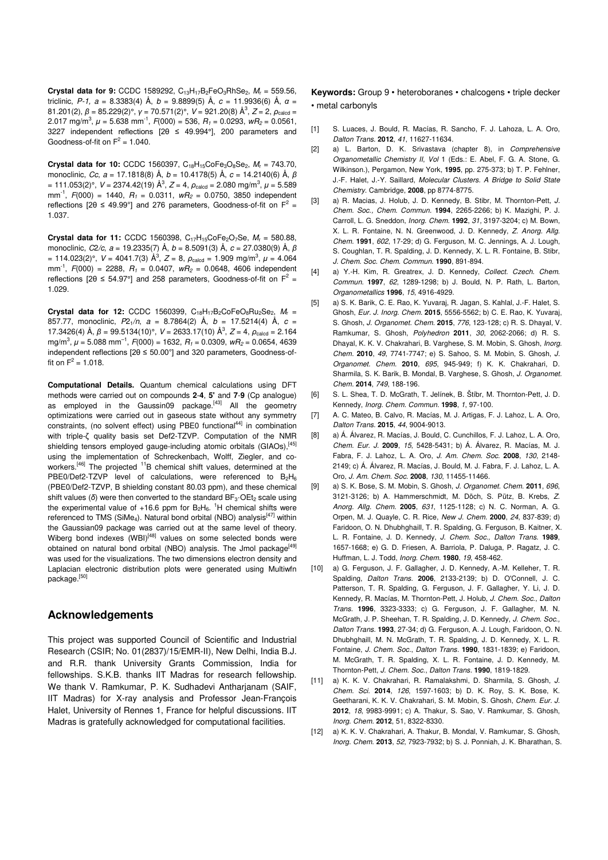**Crystal data for 9:** CCDC 1589292, C<sub>13</sub>H<sub>17</sub>B<sub>2</sub>FeO<sub>3</sub>RhSe<sub>2</sub>, M<sub>r</sub> = 559.56, triclinic, P-1, a = 8.3383(4) Å, b = 9.8899(5) Å, c = 11.9936(6) Å, *α* = 81.201(2), *β* = 85.229(2)°, *γ* = 70.571(2)°, *V* = 921.20(8) Å<sup>3</sup>, *Z* = 2, *ρ*<sub>calcd</sub> = 2.017 mg/m<sup>3</sup>,  $\mu$  = 5.638 mm<sup>-1</sup>,  $F(000)$  = 536,  $R_1$  = 0.0293, w $R_2$  = 0.0561, 3227 independent reflections [2θ ≤ 49.994°], 200 parameters and Goodness-of-fit on  $F^2 = 1.040$ .

**Crystal data for 10:** CCDC 1560397, C<sub>18</sub>H<sub>15</sub>CoFe<sub>3</sub>O<sub>8</sub>Se<sub>2</sub>, M<sub>r</sub> = 743.70, monoclinic, Cc, a = 17.1818(8) Å, b = 10.4178(5) Å, c = 14.2140(6) Å, *β*  $= 111.053(2)$ °,  $V = 2374.42(19)$  Å<sup>3</sup>,  $Z = 4$ ,  $\rho_{\text{calcd}} = 2.080$  mg/m<sup>3</sup>,  $\mu = 5.589$ mm<sup>-1</sup>,  $F(000) = 1440$ ,  $R_1 = 0.0311$ ,  $wR_2 = 0.0750$ , 3850 independent reflections [2 $\theta \le 49.99^{\circ}$ ] and 276 parameters, Goodness-of-fit on  $F^2 =$ 1.037.

**Crystal data for 11:** CCDC 1560398, C<sub>17</sub>H<sub>15</sub>CoFe<sub>2</sub>O<sub>7</sub>Se, M<sub>r</sub> = 580.88, monoclinic, C2/c, a = 19.2335(7) Å, b = 8.5091(3) Å, c = 27.0380(9) Å, *β*  $= 114.023(2)$ °,  $V = 4041.7(3)$  Å<sup>3</sup>,  $Z = 8$ ,  $\rho_{\text{calcd}} = 1.909$  mg/m<sup>3</sup>,  $\mu = 4.064$ mm<sup>-1</sup>,  $F(000) = 2288$ ,  $R_1 = 0.0407$ ,  $wR_2 = 0.0648$ , 4606 independent reflections [2 $\theta \le 54.97^{\circ}$ ] and 258 parameters, Goodness-of-fit on F<sup>2</sup> = 1.029.

**Crystal data for 12:** CCDC 1560399,  $C_{18}H_{17}B_2C_0FeO_8Ru_2Se_2$ ,  $M_r =$ 857.77, monoclinic,  $P2_1/n$ ,  $a = 8.7864(2)$  Å,  $b = 17.5214(4)$  Å,  $c =$ 17.3426(4) Å,  $\beta$  = 99.5134(10)°,  $V = 2633.17(10)$  Å<sup>3</sup>,  $Z = 4$ ,  $\rho_{\text{calcd}} = 2.164$ mg/m<sup>3</sup>,  $\mu$  = 5.088 mm<sup>-1</sup>,  $F(000)$  = 1632,  $R_1$  = 0.0309,  $wR_2$  = 0.0654, 4639 independent reflections [2θ ≤ 50.00°] and 320 parameters, Goodness-offit on  $F^2 = 1.018$ .

**Computational Details.** Quantum chemical calculations using DFT methods were carried out on compounds **2**-**4**, **5'** and **7**-**9** (Cp analogue) as employed in the Gaussin09 package.<sup>[43]</sup> All the geometry optimizations were carried out in gaseous state without any symmetry constraints, (no solvent effect) using PBE0 functional<sup>44]</sup> in combination with triple-ζ quality basis set Def2-TZVP. Computation of the NMR shielding tensors employed gauge-including atomic orbitals (GIAOs),<sup>[45]</sup> using the implementation of Schreckenbach, Wolff, Ziegler, and coworkers.<sup>[46]</sup> The projected <sup>11</sup>B chemical shift values, determined at the PBE0/Def2-TZVP level of calculations, were referenced to B<sub>2</sub>H<sub>6</sub> (PBE0/Def2-TZVP, B shielding constant 80.03 ppm), and these chemical shift values (δ) were then converted to the standard BF<sub>3</sub>·OEt<sub>2</sub> scale using the experimental value of  $+16.6$  ppm for  $B_2H_6$ . <sup>1</sup>H chemical shifts were referenced to TMS (SiMe<sub>4</sub>). Natural bond orbital (NBO) analysis<sup>[47]</sup> within the Gaussian09 package was carried out at the same level of theory. Wiberg bond indexes (WBI)<sup>[48]</sup> values on some selected bonds were obtained on natural bond orbital (NBO) analysis. The Jmol package<sup>[49]</sup> was used for the visualizations. The two dimensions electron density and Laplacian electronic distribution plots were generated using Multiwfn package.<sup>[50]</sup>

### **Acknowledgements**

This project was supported Council of Scientific and Industrial Research (CSIR; No. 01(2837)/15/EMR-II), New Delhi, India B.J. and R.R. thank University Grants Commission, India for fellowships. S.K.B. thanks IIT Madras for research fellowship. We thank V. Ramkumar, P. K. Sudhadevi Antharjanam (SAIF, IIT Madras) for X-ray analysis and Professor Jean-François Halet, University of Rennes 1, France for helpful discussions. IIT Madras is gratefully acknowledged for computational facilities.

**Keywords:** Group 9 • heteroboranes • chalcogens • triple decker • metal carbonyls

- [1] S. Luaces, J. Bould, R. Macías, R. Sancho, F. J. Lahoza, L. A. Oro, Dalton Trans. **2012**, 41, 11627-11634.
- [2] a) L. Barton, D. K. Srivastava (chapter 8), in Comprehensive Organometallic Chemistry II, Vol 1 (Eds.: E. Abel, F. G. A. Stone, G. Wilkinson.), Pergamon, New York, **1995**, pp. 275-373; b) T. P. Fehlner, J.-F. Halet, J.-Y. Saillard, Molecular Clusters. A Bridge to Solid State Chemistry. Cambridge, **2008**, pp 8774-8775.
- [3] a) R. Macias, J. Holub, J. D. Kennedy, B. Stibr, M. Thornton-Pett, J. Chem. Soc., Chem. Commun. **1994**, 2265-2266; b) K. Mazighi, P. J. Carroll, L. G. Sneddon, Inorg. Chem. **1992**, 31, 3197-3204; c) M. Bown, X. L. R. Fontaine, N. N. Greenwood, J. D. Kennedy, Z. Anorg. Allg. Chem. **1991**, 602, 17-29; d) G. Ferguson, M. C. Jennings, A. J. Lough, S. Coughlan, T. R. Spalding, J. D. Kennedy, X. L. R. Fontaine, B. Stibr, J. Chem. Soc. Chem. Commun. **1990**, 891-894.
- [4] a) Y.-H. Kim, R. Greatrex, J. D. Kennedy, Collect. Czech. Chem. Commun. **1997**, 62, 1289-1298; b) J. Bould, N. P. Rath, L. Barton, Organometallics **1996**, 15, 4916-4929.
- [5] a) S. K. Barik, C. E. Rao, K. Yuvaraj, R. Jagan, S. Kahlal, J.-F. Halet, S. Ghosh, Eur. J. Inorg. Chem. **2015**, 5556-5562; b) C. E. Rao, K. Yuvaraj, S. Ghosh, J. Organomet. Chem. **2015**, 776, 123-128; c) R. S. Dhayal, V. Ramkumar, S. Ghosh, Polyhedron **2011**, 30, 2062-2066; d) R. S. Dhayal, K. K. V. Chakrahari, B. Varghese, S. M. Mobin, S. Ghosh, Inorg. Chem. **2010**, 49, 7741-7747; e) S. Sahoo, S. M. Mobin, S. Ghosh, J. Organomet. Chem. **2010**, 695, 945-949; f) K. K. Chakrahari, D. Sharmila, S. K. Barik, B. Mondal, B. Varghese, S. Ghosh, J. Organomet. Chem. **2014**, 749, 188-196.
- [6] S. L. Shea, T. D. McGrath, T. Jelínek, B. Štíbr, M. Thornton-Pett, J. D. Kennedy, Inorg. Chem. Commun. **1998**, 1, 97-100.
- [7] A. C. Mateo, B. Calvo, R. Macías, M. J. Artigas, F. J. Lahoz, L. A. Oro, Dalton Trans. **2015**, 44, 9004-9013.
- [8] a) Á. Álvarez, R. Macías, J. Bould, C. Cunchillos, F. J. Lahoz, L. A. Oro, Chem. Eur. J. **2009**, 15, 5428-5431; b) Á. Álvarez, R. Macías, M. J. Fabra, F. J. Lahoz, L. A. Oro, J. Am. Chem. Soc. **2008**, 130, 2148- 2149; c) Á. Álvarez, R. Macías, J. Bould, M. J. Fabra, F. J. Lahoz, L. A. Oro, J. Am. Chem. Soc. **2008**, 130, 11455-11466.
- [9] a) S. K. Bose, S. M. Mobin, S. Ghosh, J. Organomet. Chem. **2011**, 696, 3121-3126; b) A. Hammerschmidt, M. Döch, S. Pütz, B. Krebs, Z. Anorg. Allg. Chem. **2005**, 631, 1125-1128; c) N. C. Norman, A. G. Orpen, M. J. Quayle, C. R. Rice, New J. Chem. **2000**, 24, 837-839; d) Faridoon, O. N. Dhubhghaill, T. R. Spalding, G. Ferguson, B. Kaitner, X. L. R. Fontaine, J. D. Kennedy, J. Chem. Soc., Dalton Trans. **1989**, 1657-1668; e) G. D. Friesen, A. Barriola, P. Daluga, P. Ragatz, J. C. Huffman, L. J. Todd, Inorg. Chem. **1980**, 19, 458-462.
- [10] a) G. Ferguson, J. F. Gallagher, J. D. Kennedy, A.-M. Kelleher, T. R. Spalding, Dalton Trans. **2006**, 2133-2139; b) D. O'Connell, J. C. Patterson, T. R. Spalding, G. Ferguson, J. F. Gallagher, Y. Li, J. D. Kennedy, R. Macías, M. Thornton-Pett, J. Holub, J. Chem. Soc., Dalton Trans. **1996**, 3323-3333; c) G. Ferguson, J. F. Gallagher, M. N. McGrath, J. P. Sheehan, T. R. Spalding, J. D. Kennedy, J. Chem. Soc., Dalton Trans. **1993**, 27-34; d) G. Ferguson, A. J. Lough, Faridoon, O. N. Dhubhghaill, M. N. McGrath, T. R. Spalding, J. D. Kennedy, X. L. R. Fontaine, J. Chem. Soc., Dalton Trans. **1990**, 1831-1839; e) Faridoon, M. McGrath, T. R. Spalding, X. L. R. Fontaine, J. D. Kennedy, M. Thornton-Pett, J. Chem. Soc., Dalton Trans. **1990**, 1819-1829.
- [11] a) K. K. V. Chakrahari, R. Ramalakshmi, D. Sharmila, S. Ghosh, J. Chem. Sci. **2014**, 126, 1597-1603; b) D. K. Roy, S. K. Bose, K. Geetharani, K. K. V. Chakrahari, S. M. Mobin, S. Ghosh, Chem. Eur. J. **2012**, 18, 9983-9991; c) A. Thakur, S. Sao, V. Ramkumar, S. Ghosh, Inorg. Chem. **2012**, 51, 8322-8330.
- [12] a) K. K. V. Chakrahari, A. Thakur, B. Mondal, V. Ramkumar, S. Ghosh, Inorg. Chem. **2013**, 52, 7923-7932; b) S. J. Ponniah, J. K. Bharathan, S.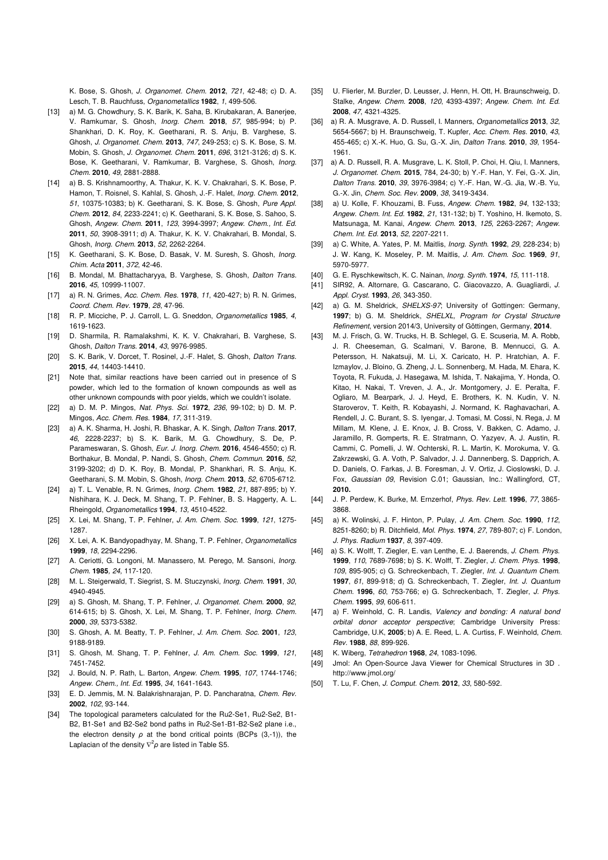K. Bose, S. Ghosh, J. Organomet. Chem. **2012**, 721, 42-48; c) D. A. Lesch, T. B. Rauchfuss, Organometallics **1982**, 1, 499-506.

- [13] a) M. G. Chowdhury, S. K. Barik, K. Saha, B. Kirubakaran, A. Banerjee, V. Ramkumar, S. Ghosh, Inorg. Chem. **2018**, 57, 985-994; b) P. Shankhari, D. K. Roy, K. Geetharani, R. S. Anju, B. Varghese, S. Ghosh, J. Organomet. Chem. **2013**, 747, 249-253; c) S. K. Bose, S. M. Mobin, S. Ghosh, J. Organomet. Chem. **2011**, 696, 3121-3126; d) S. K. Bose, K. Geetharani, V. Ramkumar, B. Varghese, S. Ghosh, Inorg. Chem. **2010**, 49, 2881-2888.
- [14] a) B. S. Krishnamoorthy, A. Thakur, K. K. V. Chakrahari, S. K. Bose, P. Hamon, T. Roisnel, S. Kahlal, S. Ghosh, J.-F. Halet, Inorg. Chem. **2012**, 51, 10375-10383; b) K. Geetharani, S. K. Bose, S. Ghosh, Pure Appl. Chem. **2012**, 84, 2233-2241; c) K. Geetharani, S. K. Bose, S. Sahoo, S. Ghosh, Angew. Chem. **2011**, 123, 3994-3997; Angew. Chem., Int. Ed. **2011**, 50, 3908-3911; d) A. Thakur, K. K. V. Chakrahari, B. Mondal, S. Ghosh, Inorg. Chem. **2013**, 52, 2262-2264.
- [15] K. Geetharani, S. K. Bose, D. Basak, V. M. Suresh, S. Ghosh, Inorg. Chim. Acta **2011**, 372, 42-46.
- [16] B. Mondal, M. Bhattacharyya, B. Varghese, S. Ghosh, Dalton Trans. **2016**, 45, 10999-11007.
- [17] a) R. N. Grimes, Acc. Chem. Res. **1978**, 11, 420-427; b) R. N. Grimes, Coord. Chem. Rev. **1979**, 28, 47-96.
- [18] R. P. Micciche, P. J. Carroll, L. G. Sneddon, Organometallics **1985**, 4, 1619-1623.
- [19] D. Sharmila, R. Ramalakshmi, K. K. V. Chakrahari, B. Varghese, S. Ghosh, Dalton Trans. **2014**, 43, 9976-9985.
- [20] S. K. Barik, V. Dorcet, T. Rosinel, J.-F. Halet, S. Ghosh, Dalton Trans. **2015**, 44, 14403-14410.
- [21] Note that, similar reactions have been carried out in presence of S powder, which led to the formation of known compounds as well as other unknown compounds with poor yields, which we couldn't isolate.
- [22] a) D. M. P. Mingos, Nat. Phys. Sci. **1972**, 236, 99-102; b) D. M. P. Mingos, Acc. Chem. Res. **1984**, 17, 311-319.
- [23] a) A. K. Sharma, H. Joshi, R. Bhaskar, A. K. Singh, Dalton Trans. **2017**, 46, 2228-2237; b) S. K. Barik, M. G. Chowdhury, S. De, P. Parameswaran, S. Ghosh, Eur. J. Inorg. Chem. **2016**, 4546-4550; c) R. Borthakur, B. Mondal, P. Nandi, S. Ghosh, Chem. Commun. **2016**, 52, 3199-3202; d) D. K. Roy, B. Mondal, P. Shankhari, R. S. Anju, K. Geetharani, S. M. Mobin, S. Ghosh, Inorg. Chem. **2013**, 52, 6705-6712.
- [24] a) T. L. Venable, R. N. Grimes, Inorg. Chem. **1982**, 21, 887-895; b) Y. Nishihara, K. J. Deck, M. Shang, T. P. Fehlner, B. S. Haggerty, A. L. Rheingold, Organometallics **1994**, 13, 4510-4522.
- [25] X. Lei, M. Shang, T. P. Fehlner, J. Am. Chem. Soc. **1999**, 121, 1275- 1287.
- [26] X. Lei, A. K. Bandyopadhyay, M. Shang, T. P. Fehlner, Organometallics **1999**, 18, 2294-2296.
- [27] A. Ceriotti, G. Longoni, M. Manassero, M. Perego, M. Sansoni, Inorg. Chem. **1985**, 24, 117-120.
- [28] M. L. Steigerwald, T. Siegrist, S. M. Stuczynski, Inorg. Chem. **1991**, 30, 4940-4945.
- [29] a) S. Ghosh, M. Shang, T. P. Fehlner, J. Organomet. Chem. **2000**, 92, 614-615; b) S. Ghosh, X. Lei, M. Shang, T. P. Fehlner, Inorg. Chem. **2000**, 39, 5373-5382.
- [30] S. Ghosh, A. M. Beatty, T. P. Fehlner, J. Am. Chem. Soc. **2001**, 123, 9188-9189.
- [31] S. Ghosh, M. Shang, T. P. Fehlner, J. Am. Chem. Soc. **1999**, 121, 7451-7452.
- [32] J. Bould, N. P. Rath, L. Barton, Angew. Chem. **1995**, 107, 1744-1746; Angew. Chem., Int. Ed. **1995**, 34, 1641-1643.
- [33] E. D. Jemmis, M. N. Balakrishnarajan, P. D. Pancharatna, Chem. Rev. **2002**, 102, 93-144.
- [34] The topological parameters calculated for the Ru2-Se1, Ru2-Se2, B1-B2, B1-Se1 and B2-Se2 bond paths in Ru2-Se1-B1-B2-Se2 plane i.e., the electron density *ρ* at the bond critical points (BCPs (3,-1)), the Laplacian of the density  $\nabla^2 \rho$  are listed in Table S5.
- [35] U. Flierler, M. Burzler, D. Leusser, J. Henn, H. Ott, H. Braunschweig, D. Stalke, Angew. Chem. **2008**, 120, 4393-4397; Angew. Chem. Int. Ed. **2008**, 47, 4321-4325.
- [36] a) R. A. Musgrave, A. D. Russell, I. Manners, Organometallics **2013**, 32, 5654-5667; b) H. Braunschweig, T. Kupfer, Acc. Chem. Res. **2010**, 43, 455-465; c) X.-K. Huo, G. Su, G.-X. Jin, Dalton Trans. **2010**, 39, 1954- 1961.
- [37] a) A. D. Russell, R. A. Musgrave, L. K. Stoll, P. Choi, H. Qiu, I. Manners, J. Organomet. Chem. **2015**, 784, 24-30; b) Y.-F. Han, Y. Fei, G.-X. Jin, Dalton Trans. **2010**, 39, 3976-3984; c) Y.-F. Han, W.-G. Jia, W.-B. Yu, G.-X. Jin, Chem. Soc. Rev. **2009**, 38, 3419-3434.
- [38] a) U. Kolle, F. Khouzami, B. Fuss, Angew. Chem. **1982**, 94, 132-133; Angew. Chem. Int. Ed. **1982**, 21, 131-132; b) T. Yoshino, H. Ikemoto, S. Matsunaga, M. Kanai, Angew. Chem. **2013**, 125, 2263-2267; Angew. Chem. Int. Ed. **2013**, 52, 2207-2211.
- [39] a) C. White, A. Yates, P. M. Maitlis, Inorg. Synth. **1992**, 29, 228-234; b) J. W. Kang, K. Moseley, P. M. Maitlis, J. Am. Chem. Soc. **1969**, 91, 5970-5977.
- [40] G. E. Ryschkewitsch, K. C. Nainan, Inorg. Synth. **1974**, 15, 111-118.
- [41] SIR92, A. Altornare, G. Cascarano, C. Giacovazzo, A. Guagliardi, J. Appl. Cryst. **1993**, 26, 343-350.
- [42] a) G. M. Sheldrick, SHELXS-97; University of Gottingen: Germany, **1997**; b) G. M. Sheldrick, SHELXL, Program for Crystal Structure Refinement, version 2014/3, University of Göttingen, Germany, **2014**.
- [43] M. J. Frisch, G. W. Trucks, H. B. Schlegel, G. E. Scuseria, M. A. Robb, J. R. Cheeseman, G. Scalmani, V. Barone, B. Mennucci, G. A. Petersson, H. Nakatsuji, M. Li, X. Caricato, H. P. Hratchian, A. F. Izmaylov, J. Bloino, G. Zheng, J. L. Sonnenberg, M. Hada, M. Ehara, K. Toyota, R. Fukuda, J. Hasegawa, M. Ishida, T. Nakajima, Y. Honda, O. Kitao, H. Nakai, T. Vreven, J. A., Jr. Montgomery, J. E. Peralta, F. Ogliaro, M. Bearpark, J. J. Heyd, E. Brothers, K. N. Kudin, V. N. Staroverov, T. Keith, R. Kobayashi, J. Normand, K. Raghavachari, A. Rendell, J. C. Burant, S. S. Iyengar, J. Tomasi, M. Cossi, N. Rega, J. M Millam, M. Klene, J. E. Knox, J. B. Cross, V. Bakken, C. Adamo, J. Jaramillo, R. Gomperts, R. E. Stratmann, O. Yazyev, A. J. Austin, R. Cammi, C. Pomelli, J. W. Ochterski, R. L. Martin, K. Morokuma, V. G. Zakrzewski, G. A. Voth, P. Salvador, J. J. Dannenberg, S. Dapprich, A. D. Daniels, O. Farkas, J. B. Foresman, J. V. Ortiz, J. Cioslowski, D. J. Fox, Gaussian 09, Revision C.01; Gaussian, Inc.: Wallingford, CT, **2010.**
- [44] J. P. Perdew, K. Burke, M. Ernzerhof, Phys. Rev. Lett. **1996**, 77, 3865- 3868.
- [45] a) K. Wolinski, J. F. Hinton, P. Pulay, J. Am. Chem. Soc. **1990**, 112, 8251-8260; b) R. Ditchfield, Mol. Phys. **1974**, 27, 789-807; c) F. London, J. Phys. Radium **1937**, 8, 397-409.
- [46] a) S. K. Wolff, T. Ziegler, E. van Lenthe, E. J. Baerends, J. Chem. Phys. **1999**, 110, 7689-7698; b) S. K. Wolff, T. Ziegler, J. Chem. Phys. **1998**, 109, 895-905; c) G. Schreckenbach, T. Ziegler, Int. J. Quantum Chem. **1997**, 61, 899-918; d) G. Schreckenbach, T. Ziegler, Int. J. Quantum Chem. **1996**, 60, 753-766; e) G. Schreckenbach, T. Ziegler, J. Phys. Chem. **1995**, 99, 606-611.
- [47] a) F. Weinhold, C. R. Landis, Valency and bonding: A natural bond orbital donor acceptor perspective; Cambridge University Press: Cambridge, U.K, **2005**; b) A. E. Reed, L. A. Curtiss, F. Weinhold, Chem. Rev. **1988**, 88, 899-926.
- [48] K. Wiberg, Tetrahedron **1968**, 24, 1083-1096.
- [49] Jmol: An Open-Source Java Viewer for Chemical Structures in 3D. http://www.jmol.org/
- [50] T. Lu, F. Chen, J. Comput. Chem. **2012**, 33, 580-592.